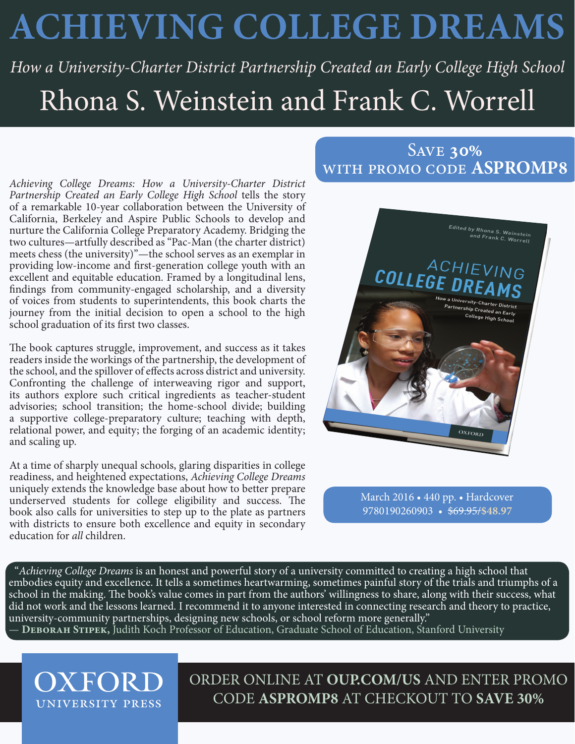## **ACHIEVING COLLEGE DREAMS**

*How a University-Charter District Partnership Created an Early College High School* Rhona S. Weinstein and Frank C. Worrell

*Achieving College Dreams: How a University-Charter District Partnership Created an Early College High School* tells the story of a remarkable 10-year collaboration between the University of California, Berkeley and Aspire Public Schools to develop and nurture the California College Preparatory Academy. Bridging the two cultures—artfully described as "Pac-Man (the charter district) meets chess (the university)"—the school serves as an exemplar in providing low-income and first-generation college youth with an excellent and equitable education. Framed by a longitudinal lens, findings from community-engaged scholarship, and a diversity of voices from students to superintendents, this book charts the journey from the initial decision to open a school to the high school graduation of its first two classes.

The book captures struggle, improvement, and success as it takes readers inside the workings of the partnership, the development of the school, and the spillover of effects across district and university. Confronting the challenge of interweaving rigor and support, its authors explore such critical ingredients as teacher-student advisories; school transition; the home-school divide; building a supportive college-preparatory culture; teaching with depth, relational power, and equity; the forging of an academic identity; and scaling up.

At a time of sharply unequal schools, glaring disparities in college readiness, and heightened expectations, *Achieving College Dreams* uniquely extends the knowledge base about how to better prepare underserved students for college eligibility and success. The book also calls for universities to step up to the plate as partners with districts to ensure both excellence and equity in secondary education for *all* children.

## Save **30%** with promo code **ASPROMP8**



March 2016 • 440 pp. • Hardcover 9780190260903 • \$69.95/**\$48.97**

"*Achieving College Dreams* is an honest and powerful story of a university committed to creating a high school that embodies equity and excellence. It tells a sometimes heartwarming, sometimes painful story of the trials and triumphs of a school in the making. The book's value comes in part from the authors' willingness to share, along with their success, what did not work and the lessons learned. I recommend it to anyone interested in connecting research and theory to practice, university-community partnerships, designing new schools, or school reform more generally." — **Deborah Stipek,** Judith Koch Professor of Education, Graduate School of Education, Stanford University

**OXFORD** ORDER ONLINE AT **OUP.COM/US** AND ENTER PROMO CODE **ASPROMP8** AT CHECKOUT TO **SAVE 30%**